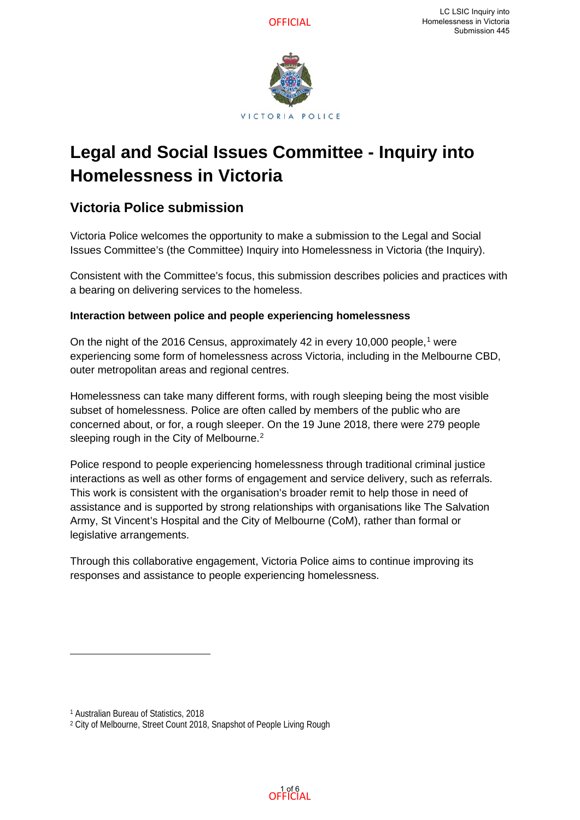

# **Legal and Social Issues Committee - Inquiry into Homelessness in Victoria**

## **Victoria Police submission**

Victoria Police welcomes the opportunity to make a submission to the Legal and Social Issues Committee's (the Committee) Inquiry into Homelessness in Victoria (the Inquiry).

Consistent with the Committee's focus, this submission describes policies and practices with a bearing on delivering services to the homeless.

### **Interaction between police and people experiencing homelessness**

On the night of the 2016 Census, approximately 42 in every 10,000 people, <sup>1</sup> were experiencing some form of homelessness across Victoria, including in the Melbourne CBD, outer metropolitan areas and regional centres.

Homelessness can take many different forms, with rough sleeping being the most visible subset of homelessness. Police are often called by members of the public who are concerned about, or for, a rough sleeper. On the 19 June 2018, there were 279 people sleeping rough in the City of Melbourne.<sup>2</sup>

Police respond to people experiencing homelessness through traditional criminal justice interactions as well as other forms of engagement and service delivery, such as referrals. This work is consistent with the organisation's broader remit to help those in need of assistance and is supported by strong relationships with organisations like The Salvation Army, St Vincent's Hospital and the City of Melbourne (CoM), rather than formal or legislative arrangements.

Through this collaborative engagement, Victoria Police aims to continue improving its responses and assistance to people experiencing homelessness.



<sup>1</sup> Australian Bureau of Statistics, 2018

<sup>2</sup> City of Melbourne, Street Count 2018, Snapshot of People Living Rough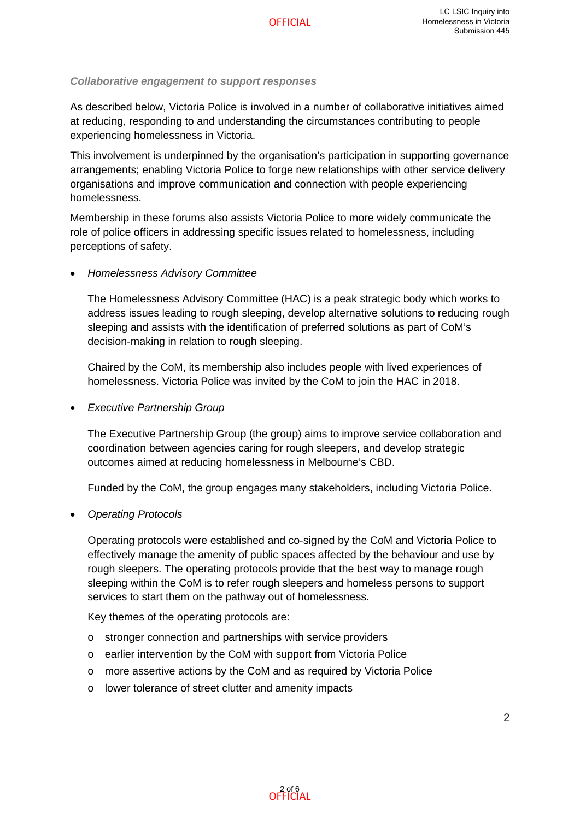#### *Collaborative engagement to support responses*

As described below, Victoria Police is involved in a number of collaborative initiatives aimed at reducing, responding to and understanding the circumstances contributing to people experiencing homelessness in Victoria.

This involvement is underpinned by the organisation's participation in supporting governance arrangements; enabling Victoria Police to forge new relationships with other service delivery organisations and improve communication and connection with people experiencing homelessness.

Membership in these forums also assists Victoria Police to more widely communicate the role of police officers in addressing specific issues related to homelessness, including perceptions of safety.

#### • *Homelessness Advisory Committee*

The Homelessness Advisory Committee (HAC) is a peak strategic body which works to address issues leading to rough sleeping, develop alternative solutions to reducing rough sleeping and assists with the identification of preferred solutions as part of CoM's decision-making in relation to rough sleeping.

Chaired by the CoM, its membership also includes people with lived experiences of homelessness. Victoria Police was invited by the CoM to join the HAC in 2018.

• *Executive Partnership Group* 

The Executive Partnership Group (the group) aims to improve service collaboration and coordination between agencies caring for rough sleepers, and develop strategic outcomes aimed at reducing homelessness in Melbourne's CBD.

Funded by the CoM, the group engages many stakeholders, including Victoria Police.

• *Operating Protocols*

Operating protocols were established and co-signed by the CoM and Victoria Police to effectively manage the amenity of public spaces affected by the behaviour and use by rough sleepers. The operating protocols provide that the best way to manage rough sleeping within the CoM is to refer rough sleepers and homeless persons to support services to start them on the pathway out of homelessness.

Key themes of the operating protocols are:

- o stronger connection and partnerships with service providers
- o earlier intervention by the CoM with support from Victoria Police
- o more assertive actions by the CoM and as required by Victoria Police
- o lower tolerance of street clutter and amenity impacts

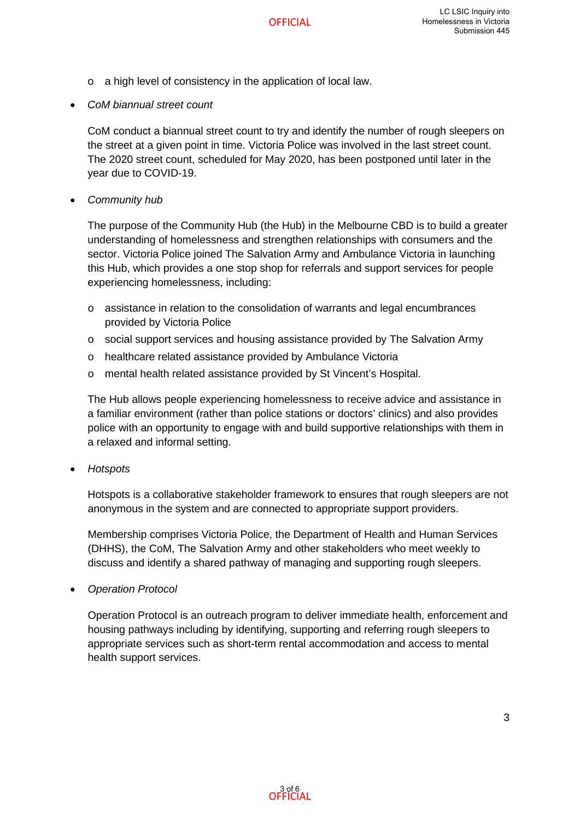- o a high level of consistency in the application of local law.
- *CoM biannual street count*

CoM conduct a biannual street count to try and identify the number of rough sleepers on the street at a given point in time. Victoria Police was involved in the last street count. The 2020 street count, scheduled for May 2020, has been postponed until later in the year due to COVID-19.

• *Community hub* 

The purpose of the Community Hub (the Hub) in the Melbourne CBD is to build a greater understanding of homelessness and strengthen relationships with consumers and the sector. Victoria Police joined The Salvation Army and Ambulance Victoria in launching this Hub, which provides a one stop shop for referrals and support services for people experiencing homelessness, including:

- o assistance in relation to the consolidation of warrants and legal encumbrances provided by Victoria Police
- o social support services and housing assistance provided by The Salvation Army
- o healthcare related assistance provided by Ambulance Victoria
- o mental health related assistance provided by St Vincent's Hospital.

The Hub allows people experiencing homelessness to receive advice and assistance in a familiar environment (rather than police stations or doctors' clinics) and also provides police with an opportunity to engage with and build supportive relationships with them in a relaxed and informal setting.

• *Hotspots*

Hotspots is a collaborative stakeholder framework to ensures that rough sleepers are not anonymous in the system and are connected to appropriate support providers.

Membership comprises Victoria Police, the Department of Health and Human Services (DHHS), the CoM, The Salvation Army and other stakeholders who meet weekly to discuss and identify a shared pathway of managing and supporting rough sleepers.

• *Operation Protocol*

Operation Protocol is an outreach program to deliver immediate health, enforcement and housing pathways including by identifying, supporting and referring rough sleepers to appropriate services such as short-term rental accommodation and access to mental health support services.

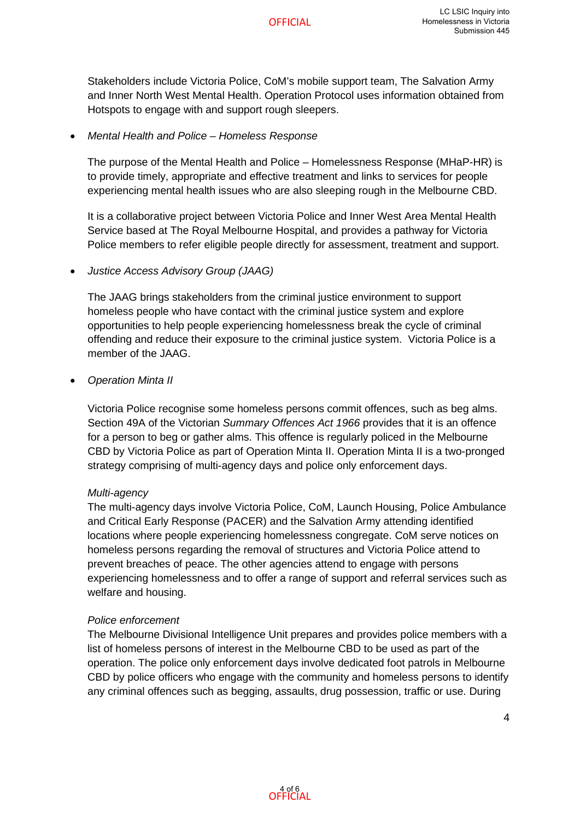Stakeholders include Victoria Police, CoM's mobile support team, The Salvation Army and Inner North West Mental Health. Operation Protocol uses information obtained from Hotspots to engage with and support rough sleepers.

#### • *Mental Health and Police – Homeless Response*

The purpose of the Mental Health and Police – Homelessness Response (MHaP-HR) is to provide timely, appropriate and effective treatment and links to services for people experiencing mental health issues who are also sleeping rough in the Melbourne CBD.

It is a collaborative project between Victoria Police and Inner West Area Mental Health Service based at The Royal Melbourne Hospital, and provides a pathway for Victoria Police members to refer eligible people directly for assessment, treatment and support.

#### • *Justice Access Advisory Group (JAAG)*

The JAAG brings stakeholders from the criminal justice environment to support homeless people who have contact with the criminal justice system and explore opportunities to help people experiencing homelessness break the cycle of criminal offending and reduce their exposure to the criminal justice system. Victoria Police is a member of the JAAG.

#### • *Operation Minta II*

Victoria Police recognise some homeless persons commit offences, such as beg alms. Section 49A of the Victorian *Summary Offences Act 1966* provides that it is an offence for a person to beg or gather alms. This offence is regularly policed in the Melbourne CBD by Victoria Police as part of Operation Minta II. Operation Minta II is a two-pronged strategy comprising of multi-agency days and police only enforcement days.

#### *Multi-agency*

The multi-agency days involve Victoria Police, CoM, Launch Housing, Police Ambulance and Critical Early Response (PACER) and the Salvation Army attending identified locations where people experiencing homelessness congregate. CoM serve notices on homeless persons regarding the removal of structures and Victoria Police attend to prevent breaches of peace. The other agencies attend to engage with persons experiencing homelessness and to offer a range of support and referral services such as welfare and housing.

#### *Police enforcement*

The Melbourne Divisional Intelligence Unit prepares and provides police members with a list of homeless persons of interest in the Melbourne CBD to be used as part of the operation. The police only enforcement days involve dedicated foot patrols in Melbourne CBD by police officers who engage with the community and homeless persons to identify any criminal offences such as begging, assaults, drug possession, traffic or use. During

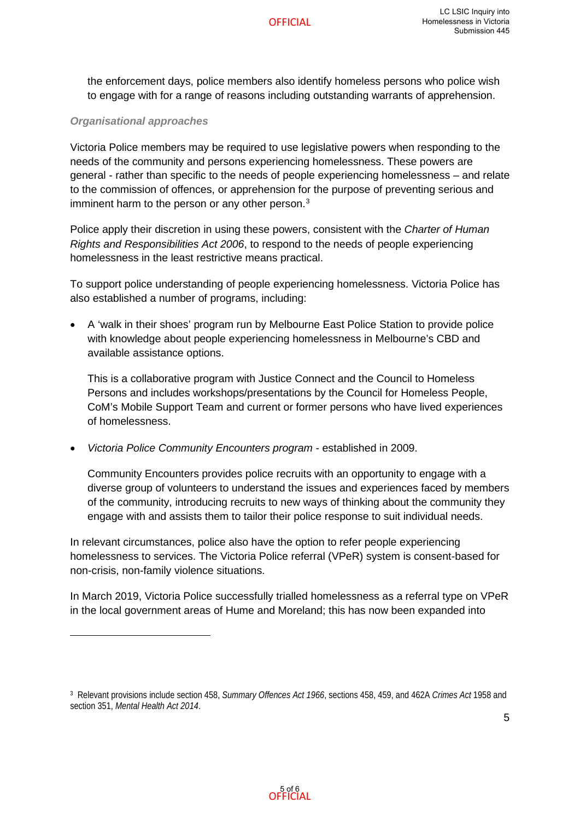the enforcement days, police members also identify homeless persons who police wish to engage with for a range of reasons including outstanding warrants of apprehension.

#### *Organisational approaches*

Victoria Police members may be required to use legislative powers when responding to the needs of the community and persons experiencing homelessness. These powers are general - rather than specific to the needs of people experiencing homelessness – and relate to the commission of offences, or apprehension for the purpose of preventing serious and imminent harm to the person or any other person. $3$ 

Police apply their discretion in using these powers, consistent with the *Charter of Human Rights and Responsibilities Act 2006*, to respond to the needs of people experiencing homelessness in the least restrictive means practical.

To support police understanding of people experiencing homelessness. Victoria Police has also established a number of programs, including:

• A 'walk in their shoes' program run by Melbourne East Police Station to provide police with knowledge about people experiencing homelessness in Melbourne's CBD and available assistance options.

This is a collaborative program with Justice Connect and the Council to Homeless Persons and includes workshops/presentations by the Council for Homeless People, CoM's Mobile Support Team and current or former persons who have lived experiences of homelessness.

• *Victoria Police Community Encounters program* - established in 2009.

Community Encounters provides police recruits with an opportunity to engage with a diverse group of volunteers to understand the issues and experiences faced by members of the community, introducing recruits to new ways of thinking about the community they engage with and assists them to tailor their police response to suit individual needs.

In relevant circumstances, police also have the option to refer people experiencing homelessness to services. The Victoria Police referral (VPeR) system is consent-based for non-crisis, non-family violence situations.

In March 2019, Victoria Police successfully trialled homelessness as a referral type on VPeR in the local government areas of Hume and Moreland; this has now been expanded into



<sup>3</sup> Relevant provisions include section 458, *Summary Offences Act 1966*, sections 458, 459, and 462A *Crimes Act* 1958 and section 351, *Mental Health Act 2014*.